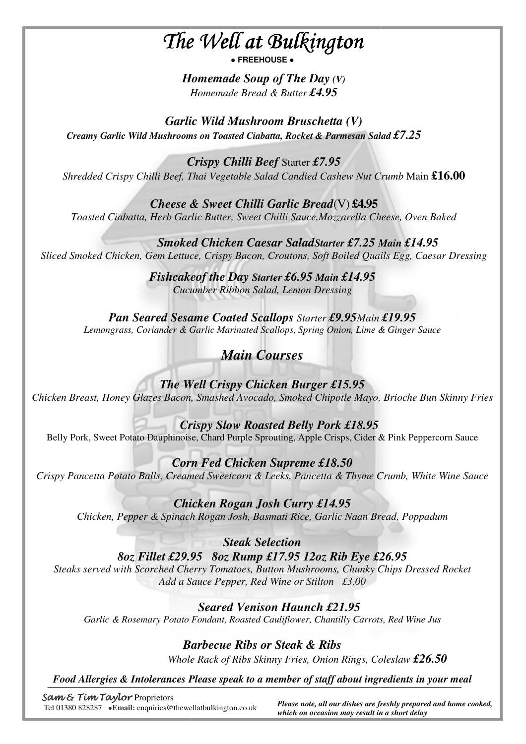# *The Well at Bulkington Bulkington*

**● FREEHOUSE ●**

*Homemade Homemade Soup of The Day (V) Homemade Bread & Butter £4.95* 

*Garlic Wild Mushroom Bruschetta Bruschetta (V) Creamy Garlic Wild Mushrooms on Toasted Ciabatta, Rocket & Parmesan Salad £7.25*

 $\overline{a}$ 

*Crispy Chilli Beef* Starter *£7.95 Shredded Crispy Chilli Beef, Thai Vegetable Salad Candied Cashew Nut Crumb* Main **£16.00**

*Cheese & Sweet Chilli Chilli Garlic Bread*(V) **£4.95** *Toasted Ciabatta, Herb Garlic Butter Butter, Sweet Chilli Sauce,Mozzarella Chees Mozzarella Cheese, Oven Baked* 

 *Smoked Chicken Caesar Salad Starter £7.25 Main £14.95 Sliced Smoked Chicken, Gem Lettuce, Crispy Bacon, Croutons, Soft Boiled Quails Egg, Caesar Dressing*

> *Fishcake Fishcakeof the Day Starter £6.95 Main £14.95 Cucumber Ribbon Salad, Lemon Dressing*

*Pan Seared Sesame Coated Coated Scallops Starter £9.95Main £19.95 Lemongrass, Coriander & Garlic Marinated Scallops, Spring Onion, Lime & Ginger Sauce*

## *Main Courses*

*The Well Crispy Chicken Burger Burger £15.95 Chicken Breast, Honey Glazes Bacon, Smashed Avocado, Smoked Chipotle Mayo, Brioche Bun S Skinny Fries*

 *Crispy Slow Roasted Belly Pork £18.95* Belly Pork, Sweet Potato Dauphinoise, Chard Purple Sprouting, Apple Crisps, Cider & Pink Peppercorn Sauce

*Corn Fed Chicken Supreme Supreme £18.50 Crispy Pancetta Potato Balls, Creamed Sweetcorn & Leeks, Pancetta & Thyme Crumb, White Wine Sauce*

*Chicken Rogan Josh Curry £14.95 Chicken, Pepper & Spinach Rogan Josh, Basmati Rice, Garlic Naan Bread Bread, Poppadum* 

*8oz Fillet £29.95 .95 8oz Rump £17.95 12oz Rib Eye £26.95 Steaks served with Scorched Cherry Tomatoes, Button Mushrooms, Chunky Chips Dressed Rocket Add a Sauce Pepper, Red Wine or Stilton £3.00 Steak Selection* 

## *Seared Venison Haunch £21.95*

Garlic & Rosemary Potato Fondant, Roasted Cauliflower, Chantilly Carrots, Red Wine Jus

## *Barbecue Ribs Ribs or Steak & Ribs*

 *Whole Rack of Ribs Skinny Fries, Onion Rings, Coleslaw £26.50*

*Food Allergies & Intolerances Please speak to a member of staff about ingredients in your meal*

Sam & Tim Taylor Proprietors Tel 01380 828287 **●Email:** enquiries@thewellatbulkington.co.uk

 *Please note, all our dishes are freshly prepared and home cooked, which on occasion may result in t in a short delay*